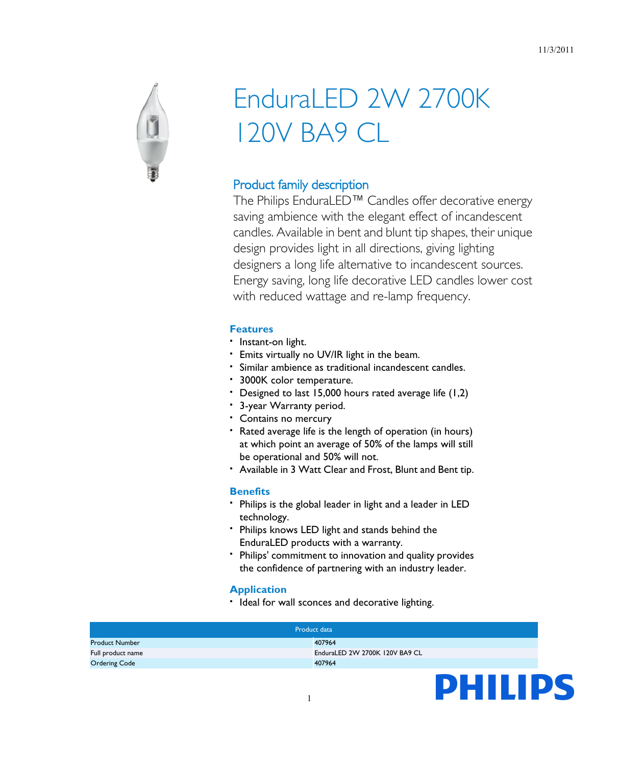

# EnduraLED 2W 2700K 120V BA9 CL

# Product family description

The Philips EnduraLED™ Candles offer decorative energy saving ambience with the elegant effect of incandescent candles. Available in bent and blunt tip shapes, their unique design provides light in all directions, giving lighting designers a long life alternative to incandescent sources. Energy saving, long life decorative LED candles lower cost with reduced wattage and re-lamp frequency.

## **Features**

- Instant-on light.
- Emits virtually no UV/IR light in the beam.
- Similar ambience as traditional incandescent candles.
- 3000K color temperature.
- Designed to last 15,000 hours rated average life (1,2)
- 3-year Warranty period.
- Contains no mercury
- Rated average life is the length of operation (in hours) at which point an average of 50% of the lamps will still be operational and 50% will not.
- Available in 3 Watt Clear and Frost, Blunt and Bent tip.

#### **Benefits**

- Philips is the global leader in light and a leader in LED technology.
- Philips knows LED light and stands behind the EnduraLED products with a warranty.
- Philips' commitment to innovation and quality provides the confidence of partnering with an industry leader.

## **Application**

• Ideal for wall sconces and decorative lighting.

| Product data          |                                |
|-----------------------|--------------------------------|
| <b>Product Number</b> | 407964                         |
| Full product name     | EnduraLED 2W 2700K 120V BA9 CL |
| <b>Ordering Code</b>  | 407964                         |